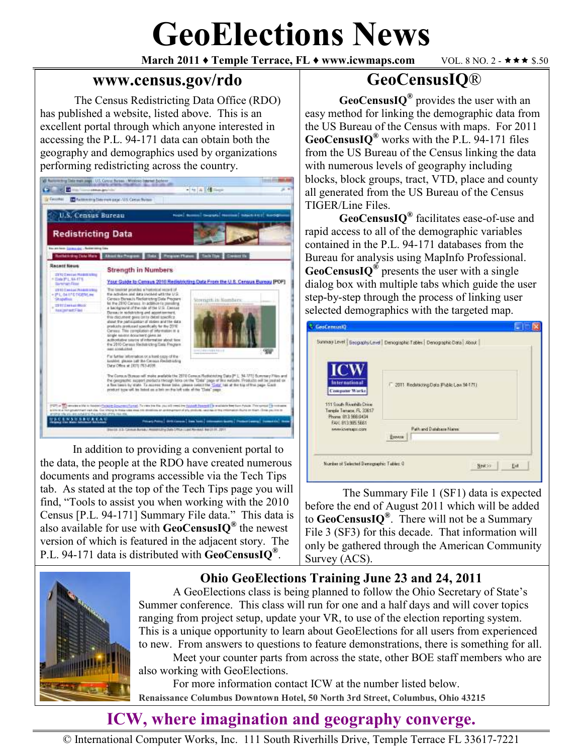# **GeoElections News**

**March 2011 ♦ Temple Terrace, FL ♦ www.icwmaps.com** VOL. 8 NO. 2 - ★★★ \$.50

#### **www.census.gov/rdo**

The Census Redistricting Data Office (RDO) has published a website, listed above. This is an excellent portal through which anyone interested in accessing the P.L. 94-171 data can obtain both the geography and demographics used by organizations performing redistricting across the country.



In addition to providing a convenient portal to the data, the people at the RDO have created numerous documents and programs accessible via the Tech Tips tab. As stated at the top of the Tech Tips page you will find, "Tools to assist you when working with the 2010 Census [P.L. 94-171] Summary File data." This data is also available for use with **GeoCensusIQ®** the newest version of which is featured in the adjacent story. The P.L. 94-171 data is distributed with **GeoCensusIQ®** .

## **GeoCensusIQ**®

**GeoCensusIQ®** provides the user with an easy method for linking the demographic data from the US Bureau of the Census with maps. For 2011 **GeoCensusIQ®** works with the P.L. 94-171 files from the US Bureau of the Census linking the data with numerous levels of geography including blocks, block groups, tract, VTD, place and county all generated from the US Bureau of the Census TIGER/Line Files.

**GeoCensusIQ®** facilitates ease-of-use and rapid access to all of the demographic variables contained in the P.L. 94-171 databases from the Bureau for analysis using MapInfo Professional. **GeoCensusIQ®** presents the user with a single dialog box with multiple tabs which guide the user step-by-step through the process of linking user selected demographics with the targeted map.

| <b>ICW</b><br><b>International</b><br><b>Computer Works</b><br>111 South Riverbills Drive<br>Tangle Terrace, FL 33617<br>Phone 813 966 0434<br>FAX: 813 995 5661<br><b>MWAXWEELOZE</b> | 2011 Redstacting Data (Plublic Law 34-171) |
|----------------------------------------------------------------------------------------------------------------------------------------------------------------------------------------|--------------------------------------------|
|                                                                                                                                                                                        | Path and Database Name<br><b>BIOVER</b>    |

The Summary File 1 (SF1) data is expected before the end of August 2011 which will be added to **GeoCensusIQ®** . There will not be a Summary File 3 (SF3) for this decade. That information will only be gathered through the American Community Survey (ACS).



#### **Ohio GeoElections Training June 23 and 24, 2011**

 A GeoElections class is being planned to follow the Ohio Secretary of State's Summer conference. This class will run for one and a half days and will cover topics ranging from project setup, update your VR, to use of the election reporting system. This is a unique opportunity to learn about GeoElections for all users from experienced to new. From answers to questions to feature demonstrations, there is something for all. Meet your counter parts from across the state, other BOE staff members who are

also working with GeoElections.

 For more information contact ICW at the number listed below. **Renaissance Columbus Downtown Hotel, 50 North 3rd Street, Columbus, Ohio 43215** 

# **ICW, where imagination and geography converge.**

© International Computer Works, Inc. 111 South Riverhills Drive, Temple Terrace FL 33617-7221